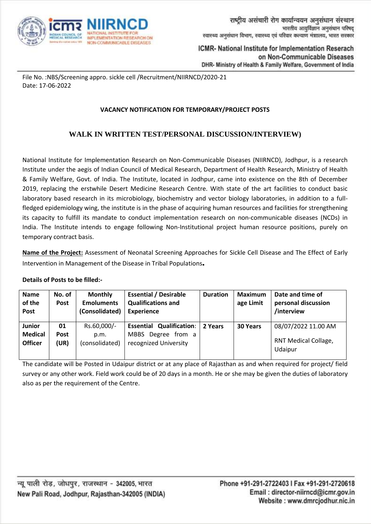

File No. :NBS/Screening appro. sickle cell /Recruitment/NIIRNCD/2020-21 Date: 17-06-2022

## **VACANCY NOTIFICATION FOR TEMPORARY/PROJECT POSTS**

# **WALK IN WRITTEN TEST/PERSONAL DISCUSSION/INTERVIEW)**

National Institute for Implementation Research on Non-Communicable Diseases (NIIRNCD), Jodhpur, is a research Institute under the aegis of Indian Council of Medical Research, Department of Health Research, Ministry of Health & Family Welfare, Govt. of India. The Institute, located in Jodhpur, came into existence on the 8th of December 2019, replacing the erstwhile Desert Medicine Research Centre. With state of the art facilities to conduct basic laboratory based research in its microbiology, biochemistry and vector biology laboratories, in addition to a fullfledged epidemiology wing, the institute is in the phase of acquiring human resources and facilities for strengthening its capacity to fulfill its mandate to conduct implementation research on non-communicable diseases (NCDs) in India. The Institute intends to engage following Non-Institutional project human resource positions, purely on temporary contract basis.

**Name of the Project:** Assessment of Neonatal Screening Approaches for Sickle Cell Disease and The Effect of Early Intervention in Management of the Disease in Tribal Populations.

#### **Details of Posts to be filled:-**

| <b>Name</b><br>of the<br>Post                     | No. of<br><b>Post</b>     | <b>Monthly</b><br><b>Emoluments</b><br>(Consolidated) | <b>Essential / Desirable</b><br><b>Qualifications and</b><br><b>Experience</b> | <b>Duration</b> | <b>Maximum</b><br>age Limit | Date and time of<br>personal discussion<br>/interview |
|---------------------------------------------------|---------------------------|-------------------------------------------------------|--------------------------------------------------------------------------------|-----------------|-----------------------------|-------------------------------------------------------|
| <b>Junior</b><br><b>Medical</b><br><b>Officer</b> | 01<br><b>Post</b><br>(UR) | Rs.60,000/-<br>p.m.<br>(consolidated)                 | <b>Essential Qualification:</b><br>MBBS Degree from a<br>recognized University | 2 Years         | <b>30 Years</b>             | 08/07/2022 11.00 AM<br>RNT Medical Collage,           |
|                                                   |                           |                                                       |                                                                                |                 |                             | Udaipur                                               |

The candidate will be Posted in Udaipur district or at any place of Rajasthan as and when required for project/ field survey or any other work. Field work could be of 20 days in a month. He or she may be given the duties of laboratory also as per the requirement of the Centre.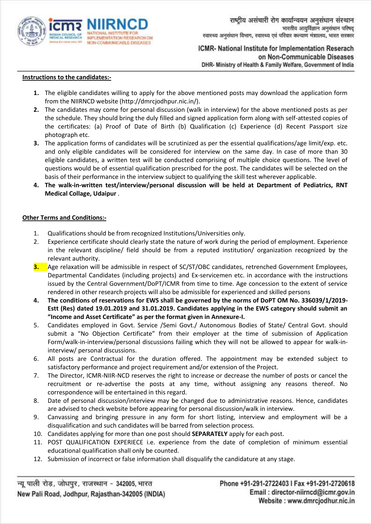

#### **Instructions to the candidates:-**

- **1.** The eligible candidates willing to apply for the above mentioned posts may download the application form from the NIIRNCD website (http://dmrcjodhpur.nic.in/).
- **2.** The candidates may come for personal discussion (walk in interview) for the above mentioned posts as per the schedule. They should bring the duly filled and signed application form along with self-attested copies of the certificates: (a) Proof of Date of Birth (b) Qualification (c) Experience (d) Recent Passport size photograph etc.
- **3.** The application forms of candidates will be scrutinized as per the essential qualifications/age limit/exp. etc. and only eligible candidates will be considered for interview on the same day. In case of more than 30 eligible candidates, a written test will be conducted comprising of multiple choice questions. The level of questions would be of essential qualification prescribed for the post. The candidates will be selected on the basis of their performance in the interview subject to qualifying the skill test wherever applicable.
- **4. The walk-in-written test/interview/personal discussion will be held at Department of Pediatrics, RNT Medical Collage, Udaipur** .

#### **Other Terms and Conditions:-**

- 1. Qualifications should be from recognized Institutions/Universities only.
- 2. Experience certificate should clearly state the nature of work during the period of employment. Experience in the relevant discipline/ field should be from a reputed institution/ organization recognized by the relevant authority.
- **3.** Age relaxation will be admissible in respect of SC/ST/OBC candidates, retrenched Government Employees, Departmental Candidates (including projects) and Ex-servicemen etc. in accordance with the instructions issued by the Central Government/DoPT/ICMR from time to time. Age concession to the extent of service rendered in other research projects will also be admissible for experienced and skilled persons
- **4. The conditions of reservations for EWS shall be governed by the norms of DoPT OM No. 336039/1/2019- Estt (Res) dated 19.01.2019 and 31.01.2019. Candidates applying in the EWS category should submit an "Income and Asset Certificate" as per the format given in Annexure-I.**
- 5. Candidates employed in Govt. Service /Semi Govt./ Autonomous Bodies of State/ Central Govt. should submit a "No Objection Certificate" from their employer at the time of submission of Application Form/walk-in-interview/personal discussions failing which they will not be allowed to appear for walk-ininterview/ personal discussions.
- 6. All posts are Contractual for the duration offered. The appointment may be extended subject to satisfactory performance and project requirement and/or extension of the Project.
- 7. The Director, ICMR-NIIR-NCD reserves the right to increase or decrease the number of posts or cancel the recruitment or re-advertise the posts at any time, without assigning any reasons thereof. No correspondence will be entertained in this regard.
- 8. Date of personal discussion/interview may be changed due to administrative reasons. Hence, candidates are advised to check website before appearing for personal discussion/walk in interview.
- 9. Canvassing and bringing pressure in any form for short listing, interview and employment will be a disqualification and such candidates will be barred from selection process.
- 10. Candidates applying for more than one post should **SEPARATELY** apply for each post.
- 11. POST QUALIFICATION EXPERIECE i.e. experience from the date of completion of minimum essential educational qualification shall only be counted.
- 12. Submission of incorrect or false information shall disqualify the candidature at any stage.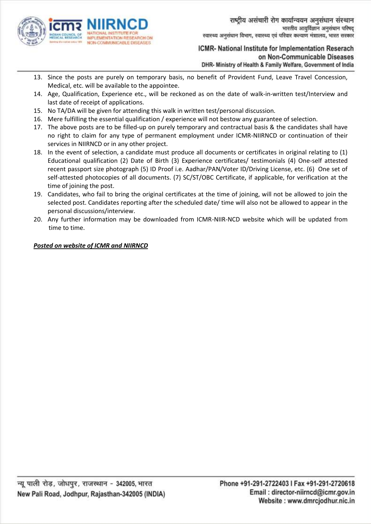

- 13. Since the posts are purely on temporary basis, no benefit of Provident Fund, Leave Travel Concession, Medical, etc. will be available to the appointee.
- 14. Age, Qualification, Experience etc., will be reckoned as on the date of walk-in-written test/Interview and last date of receipt of applications.
- 15. No TA/DA will be given for attending this walk in written test/personal discussion.
- 16. Mere fulfilling the essential qualification / experience will not bestow any guarantee of selection.
- 17. The above posts are to be filled-up on purely temporary and contractual basis & the candidates shall have no right to claim for any type of permanent employment under ICMR-NIIRNCD or continuation of their services in NIIRNCD or in any other project.
- 18. In the event of selection, a candidate must produce all documents or certificates in original relating to (1) Educational qualification (2) Date of Birth (3) Experience certificates/ testimonials (4) One-self attested recent passport size photograph (5) ID Proof i.e. Aadhar/PAN/Voter ID/Driving License, etc. (6) One set of self-attested photocopies of all documents. (7) SC/ST/OBC Certificate, if applicable, for verification at the time of joining the post.
- 19. Candidates, who fail to bring the original certificates at the time of joining, will not be allowed to join the selected post. Candidates reporting after the scheduled date/ time will also not be allowed to appear in the personal discussions/interview.
- 20. Any further information may be downloaded from ICMR-NIIR-NCD website which will be updated from time to time.

# *Posted on website of ICMR and NIIRNCD*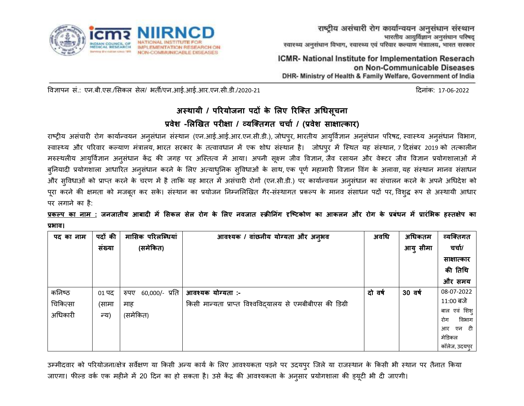

विज्ञापन सं.: एन.बी.एस./सिकल सेल/ भर्ती/एन.आई.आई.आर.एन.सी.डी./2020-21 दिनांक: 17-06-2022 दिनांक: 17-06-2022

# **अस्थायी / परियोजना पदों के लिए रिक्ति अधिसूचना** प्रवेश -लिखित परीक्षा / व्यक्तिगत चर्चा / (प्रवेश साक्षात्कार)

राष्ट्रीय असंचारी रोग कार्यान्वयन अनुसंधान संस्थान (एन.आई.आई.आर.एन.सी.डी.), जोधपुर, भारतीय आयुर्विज्ञान अनुसंधान अनुसंधान विभाग, स्वास्थ्य और परिवार कल्याण मंत्रालय, भारत सरकार के तत्वावधान में एक शोध संस्थान है। जोधपुर में स्थित यह संस्थान, 7 दिसंबर 2019 को तत्कालीन मरुस्थलीय आयुर्विज्ञान अनुसंधान केंद्र की जगह पर अस्तित्व में आया। अपनी सूक्ष्म जीव विज्ञान, जैव रसायन और वेक्टर जीव विज्ञान प्रयोगशालाओं में बुनियादी प्रयोगशाला आधारित अनुसंधान करने के लिए अत्याधुनिक सुविधाओं के साथ, एक पूर्ण महामारी विज्ञान विंग के अलावा, यह संस्थान मानव संसाधन और सुविधाओं को प्राप्त करने के चरण में है ताकि यह भारत में असंचारी रोगों (एन.सी.डी.) पर कार्यान्वयन अनुसंधान का संचालन करने के अपने अधिदेश को पूरा करने की क्षमता को मजबूत कर सके। संस्थान का प्रयोजन निम्नलिखित गैर-संस्थागत प्रकल्प के मानव संसाधन पदों पर, विशुद्ध रूप से अस्थायी आधार पर लगाने का है:

<u>प्रकल्प का नाम :</u> जनजातीय आबादी में सिकल सेल रोग के लिए नवजात स्क्रीनिंग दृष्टिकोण का आकलन और रोग के प्रबंधन में प्रारंभिक हस्तक्षेप का **प्रिाव।**

| पद का नाम | पदों की | मासिक परिलब्धियां      | आवश्यक / वांछनीय योग्यता और अनुभव                       | अवधि    | अधिकतम   | व्यक्तिगत     |
|-----------|---------|------------------------|---------------------------------------------------------|---------|----------|---------------|
|           | सख्या   | (समेकित)               |                                                         |         | आयु सीमा | चर्चा/        |
|           |         |                        |                                                         |         |          | साक्षात्कार   |
|           |         |                        |                                                         |         |          | की तिथि       |
|           |         |                        |                                                         |         |          | और समय        |
| कनिष्ठ    | 01 पद   | 60,000/- प्रति<br>रुपए | आवश्यक योग्यता :-                                       | दो वर्ष | 30 वर्ष  | 08-07-2022    |
| चिकित्सा  | (सामा   | माह                    | किसी मान्यता प्राप्त विश्वविदयालय से एमबीबीएस की डिग्री |         |          | 11:00 बजे     |
| अधिकारी   | न्य)    | (समेकित)               |                                                         |         |          | बाल एवं शिशु  |
|           |         |                        |                                                         |         |          | विभाग<br>रोग  |
|           |         |                        |                                                         |         |          | एन टी।<br>आर  |
|           |         |                        |                                                         |         |          | मेडिकल        |
|           |         |                        |                                                         |         |          | कॉलेज, उदयपुर |

उम्मीदवार को परियोजना/क्षेत्र सर्वेक्षण या किसी अन्य कार्य के लिए आवश्यकता पड़ने पर उदयपुर जिले या राजस्थान के किसी भी स्थान पर तैनात किया जाएगा। फील्ड वर्क एक महीने में 20 दिन का हो सकता है। उसे केंद्र की आवश्यकता के अनुसार प्रयोगशाला की ड्यूटी भी दी जाएगी।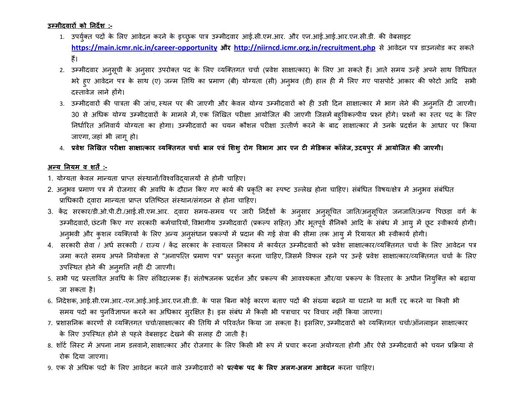**उम्मीदवािों को ननदेश :-**

- 1. उपर्युक्त पदों के लिए आवेदन करने के इच्छुक पात्र उम्मीदवार आई.सी.एम.आर. और एन.आई.आई.आर.एन.सी.डी. की वेबसाइट **<https://main.icmr.nic.in/career-opportunity> औि <http://niirncd.icmr.org.in/recruitment.php>** से आिेिन पत्र डाउनलोड कर सकर्ते हैं।
- 2. उम्मीदवार अनुसूची के अनुसार उपरोक्त पद के लिए व्यक्तिगत चर्चा (प्रवेश साक्षात्कार) के लिए आ सकते हैं। आते समय उन्हें अपने साथ विधिवत भरे हुए आवेदन पत्र के साथ (ए) जन्म तिथि का प्रमाण (बी) योग्यता (सी) अनुभव (डी) हाल ही में लिए गए पासपोर्ट आकार की फोटो आदि सभी िस्र्तािेज लाने होंगे।
- 3. उम्मीदवारों की पात्रता की जांच, स्थल पर की जाएगी और केवल योग्य उम्मीदवारों को ही उसी दिन साक्षात्कार में भाग लेने की अनुमति दी जाएगी। 30 से अधिक योग्य उम्मीदवारों के मामले में, एक लिखित परीक्षा आयोजित की जाएगी जिसमें बहुविकल्पीय प्रश्न होंगे। प्रश्नों का स्तर पद के लिए निर्धारित अनिवार्य योग्यता का होगा। उम्मीदवारों का चयन कौशल परीक्षा उत्तीर्ण करने के बाद साक्षात्कार में उनके प्रदर्शन के आधार पर किया जाएगा, जहां भी लागूहो।
- 4. **प्रवेश लिखिि पिीक्षा साक्षात्काि व्यक्तिगि चचाा बाि एविं लशशुिोग वविाग आि एन िी मेडिकि कॉिेज, उदयपुि में आयोक्जि की जाएगी।**

## **अन्य ननयम व शिें :-**

- 1. योग्यता केवल मान्यता प्राप्त संस्थानों/विश्वविदयालयों से होनी चाहिए।
- 2. अनुभव प्रमाण पत्र में रोजगार की अवधि के दौरान किए गए कार्य की प्रकृति का स्पष्ट उल्लेख होना चाहिए। संबंधित विषय/क्षेत्र में अनुभव संबंधित प्राधिकारी दवारा मान्यता प्राप्त प्रतिष्ठित संस्थान/संगठन से होना चाहिए।
- 3. केंद्र सरकार/डी.ओ.पी.टी./आई.सी.एम.आर. द्वारा समय-समय पर जारी निर्देशों के अनुसार अनुसूचित जाति/अनुसूचित जनजाति/अन्य पिछड़ा वर्ग के उम्मीदवारों, छंटनी किए गए सरकारी कर्मचारियों, विभागीय उम्मीदवारों (प्रकल्प सहित) और भूतपूर्व सैनिकों आदि के संबंध में आयु में छूट स्वीकार्य होगी। अनुभवी और कुशल व्यक्तियों के लिए अन्य अनुसंधान प्रकल्पों में प्रदान की गई सेवा की सीमा तक आयु में रियायत भी स्वीकार्य होगी।
- 4. सरकारी सेवा / अर्ध सरकारी / राज्य / केंद्र सरकार के स्वायत्त निकाय में कार्यरत उम्मीदवारों को प्रवेश साक्षात्कार/व्यक्तिगत चर्चा के लिए आवेदन पत्र जमा करते समय अपने नियोक्ता से "अनापत्ति प्रमाण पत्र" प्रस्तुत करना चाहिए, जिसमें विफल रहने पर उन्हें प्रवेश साक्षात्कार/व्यक्तिगत चर्चा के लिए उपस्स्थर्त होने की अनुमनर्त नहीं िी जाएगी।
- 5. सभी पद प्रस्तावित अवधि के लिए संविदात्मक हैं। संतोषजनक प्रदर्शन और प्रकल्प की आवश्यकता और/या प्रकल्प के विस्तार के अधीन नियुक्ति को बढ़ाया जा सकर्ता है।
- 6. निदेशक, आई.सी.एम.आर.-एन.आई.आई.आर.एन.सी.डी. के पास बिना कोई कारण बताए पदों की संख्या बढ़ाने या घटाने या भर्ती रद्द करने या किसी भी समय पदों का पुनर्विज्ञापन करने का अधिकार सुरक्षित है। इस संबंध में किसी भी पत्राचार पर विचार नहीं किया जाएगा।
- 7. प्रशासनिक कारणों से व्यक्तिगत चर्चा/साक्षात्कार की तिथि में परिवर्तन किया जा सकता है। इसलिए,उम्मीदवारों को व्यक्तिगत चर्चा/ऑनलाइन साक्षात्कार के लिए उपस्थित होने से पहले वेबसाइट देखने की सलाह दी जाती है।
- 8. शॉर्ट लिस्ट में अपना नाम डलवाने,साक्षात्कार और रोजगार के लिए किसी भी रूप में प्रचार करना अयोग्यता होगी और ऐसे उम्मीदवारों को चयन प्रक्रिया से रोक दिया जाएगा।
- 9. एक से अधधक पिों के सलए आिेिन करने िाले उम्मीििारों को **प्रत्येक पद के लिए अिग-अिग आवेदन** करना चादहए।